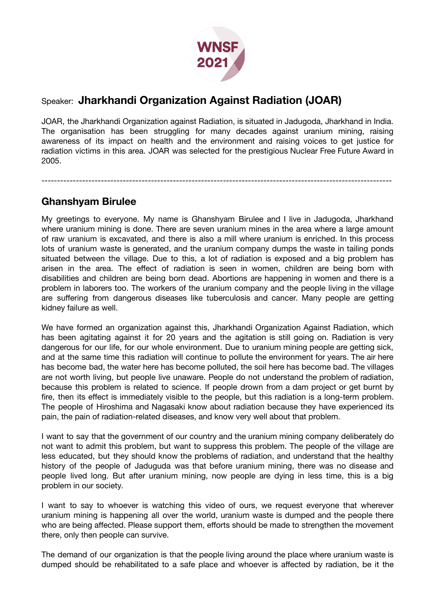

## Speaker: **Jharkhandi Organization Against Radiation (JOAR)**

JOAR, the Jharkhandi Organization against Radiation, is situated in Jadugoda, Jharkhand in India. The organisation has been struggling for many decades against uranium mining, raising awareness of its impact on health and the environment and raising voices to get justice for radiation victims in this area. JOAR was selected for the prestigious Nuclear Free Future Award in 2005.

----------------------------------------------------------------------------------------------------------------

## **Ghanshyam Birulee**

My greetings to everyone. My name is Ghanshyam Birulee and I live in Jadugoda, Jharkhand where uranium mining is done. There are seven uranium mines in the area where a large amount of raw uranium is excavated, and there is also a mill where uranium is enriched. In this process lots of uranium waste is generated, and the uranium company dumps the waste in tailing ponds situated between the village. Due to this, a lot of radiation is exposed and a big problem has arisen in the area. The effect of radiation is seen in women, children are being born with disabilities and children are being born dead. Abortions are happening in women and there is a problem in laborers too. The workers of the uranium company and the people living in the village are suffering from dangerous diseases like tuberculosis and cancer. Many people are getting kidney failure as well.

We have formed an organization against this, Jharkhandi Organization Against Radiation, which has been agitating against it for 20 years and the agitation is still going on. Radiation is very dangerous for our life, for our whole environment. Due to uranium mining people are getting sick, and at the same time this radiation will continue to pollute the environment for years. The air here has become bad, the water here has become polluted, the soil here has become bad. The villages are not worth living, but people live unaware. People do not understand the problem of radiation, because this problem is related to science. If people drown from a dam project or get burnt by fire, then its effect is immediately visible to the people, but this radiation is a long-term problem. The people of Hiroshima and Nagasaki know about radiation because they have experienced its pain, the pain of radiation-related diseases, and know very well about that problem.

I want to say that the government of our country and the uranium mining company deliberately do not want to admit this problem, but want to suppress this problem. The people of the village are less educated, but they should know the problems of radiation, and understand that the healthy history of the people of Jaduguda was that before uranium mining, there was no disease and people lived long. But after uranium mining, now people are dying in less time, this is a big problem in our society.

I want to say to whoever is watching this video of ours, we request everyone that wherever uranium mining is happening all over the world, uranium waste is dumped and the people there who are being affected. Please support them, efforts should be made to strengthen the movement there, only then people can survive.

The demand of our organization is that the people living around the place where uranium waste is dumped should be rehabilitated to a safe place and whoever is affected by radiation, be it the